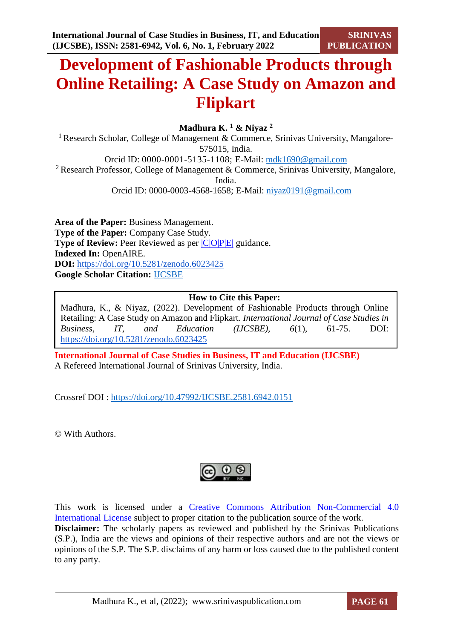# **Development of Fashionable Products through Online Retailing: A Case Study on Amazon and Flipkart**

**Madhura K. <sup>1</sup> & Niyaz <sup>2</sup>**

<sup>1</sup> Research Scholar, College of Management & Commerce, Srinivas University, Mangalore-575015, India. Orcid ID: 0000-0001-5135-1108; E-Mail: [mdk1690@gmail.com](mailto:mdk1690@gmail.com) <sup>2</sup> Research Professor, College of Management & Commerce, Srinivas University, Mangalore, India. Orcid ID: 0000-0003-4568-1658; E-Mail: [niyaz0191@gmail.com](mailto:niyaz0191@gmail.com)

**Area of the Paper:** Business Management. **Type of the Paper:** Company Case Study. **Type of Review:** Peer Reviewed as per  $|C|O||P|E|$  guidance. **Indexed In:** OpenAIRE. **DOI:** <https://doi.org/10.5281/zenodo.6023425> **Google Scholar Citation:** [IJCSBE](https://scholar.google.com/citations?user=yGYPA1MAAAAJ)

# **How to Cite this Paper:**

Madhura, K., & Niyaz, (2022). Development of Fashionable Products through Online Retailing: A Case Study on Amazon and Flipkart. *International Journal of Case Studies in Business, IT, and Education (IJCSBE), 6*(1), 61-75. DOI: <https://doi.org/10.5281/zenodo.6023425>

**International Journal of Case Studies in Business, IT and Education (IJCSBE)** A Refereed International Journal of Srinivas University, India.

Crossref DOI : [https://doi.org/10.47992/IJCSBE.2581.6942.0151](https://search.crossref.org/?q=10.47992%2FIJCSBE.2581.6942.0151&from_ui=yes)

© With Authors.



This work is licensed under a Creative Commons Attribution Non-Commercial 4.0 International License subject to proper citation to the publication source of the work. **Disclaimer:** The scholarly papers as reviewed and published by the Srinivas Publications (S.P.), India are the views and opinions of their respective authors and are not the views or opinions of the S.P. The S.P. disclaims of any harm or loss caused due to the published content to any party.

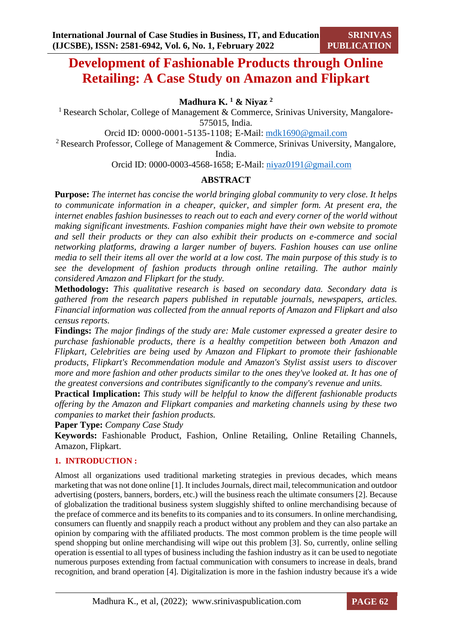# **Development of Fashionable Products through Online Retailing: A Case Study on Amazon and Flipkart**

**Madhura K. <sup>1</sup> & Niyaz <sup>2</sup>**

<sup>1</sup> Research Scholar, College of Management & Commerce, Srinivas University, Mangalore-575015, India.

Orcid ID: 0000-0001-5135-1108; E-Mail: [mdk1690@gmail.com](mailto:mdk1690@gmail.com)

<sup>2</sup> Research Professor, College of Management & Commerce, Srinivas University, Mangalore,

India.

Orcid ID: 0000-0003-4568-1658; E-Mail: [niyaz0191@gmail.com](mailto:niyaz0191@gmail.com)

# **ABSTRACT**

**Purpose:** *The internet has concise the world bringing global community to very close. It helps to communicate information in a cheaper, quicker, and simpler form. At present era, the internet enables fashion businesses to reach out to each and every corner of the world without making significant investments. Fashion companies might have their own website to promote and sell their products or they can also exhibit their products on e-commerce and social networking platforms, drawing a larger number of buyers. Fashion houses can use online media to sell their items all over the world at a low cost. The main purpose of this study is to see the development of fashion products through online retailing. The author mainly considered Amazon and Flipkart for the study.*

**Methodology:** *This qualitative research is based on secondary data. Secondary data is gathered from the research papers published in reputable journals, newspapers, articles. Financial information was collected from the annual reports of Amazon and Flipkart and also census reports.*

**Findings:** *The major findings of the study are: Male customer expressed a greater desire to purchase fashionable products, there is a healthy competition between both Amazon and Flipkart, Celebrities are being used by Amazon and Flipkart to promote their fashionable products, Flipkart's Recommendation module and Amazon's Stylist assist users to discover more and more fashion and other products similar to the ones they've looked at. It has one of the greatest conversions and contributes significantly to the company's revenue and units.*

**Practical Implication:** *This study will be helpful to know the different fashionable products offering by the Amazon and Flipkart companies and marketing channels using by these two companies to market their fashion products.* 

**Paper Type:** *Company Case Study*

**Keywords:** Fashionable Product, Fashion, Online Retailing, Online Retailing Channels, Amazon, Flipkart.

# **1. INTRODUCTION :**

Almost all organizations used traditional marketing strategies in previous decades, which means marketing that was not done online [1]. It includes Journals, direct mail, telecommunication and outdoor advertising (posters, banners, borders, etc.) will the business reach the ultimate consumers [2]. Because of globalization the traditional business system sluggishly shifted to online merchandising because of the preface of commerce and its benefits to its companies and to its consumers. In online merchandising, consumers can fluently and snappily reach a product without any problem and they can also partake an opinion by comparing with the affiliated products. The most common problem is the time people will spend shopping but online merchandising will wipe out this problem [3]. So, currently, online selling operation is essential to all types of business including the fashion industry as it can be used to negotiate numerous purposes extending from factual communication with consumers to increase in deals, brand recognition, and brand operation [4]. Digitalization is more in the fashion industry because it's a wide

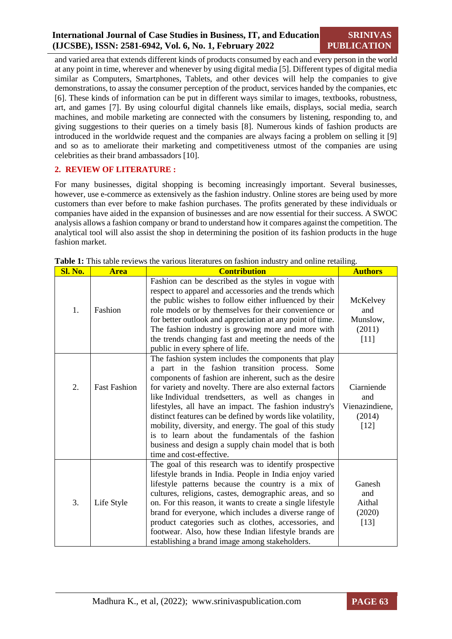and varied area that extends different kinds of products consumed by each and every person in the world at any point in time, wherever and whenever by using digital media [5]. Different types of digital media similar as Computers, Smartphones, Tablets, and other devices will help the companies to give demonstrations, to assay the consumer perception of the product, services handed by the companies, etc [6]. These kinds of information can be put in different ways similar to images, textbooks, robustness, art, and games [7]. By using colourful digital channels like emails, displays, social media, search machines, and mobile marketing are connected with the consumers by listening, responding to, and giving suggestions to their queries on a timely basis [8]. Numerous kinds of fashion products are introduced in the worldwide request and the companies are always facing a problem on selling it [9] and so as to ameliorate their marketing and competitiveness utmost of the companies are using celebrities as their brand ambassadors [10].

#### **2. REVIEW OF LITERATURE :**

For many businesses, digital shopping is becoming increasingly important. Several businesses, however, use e-commerce as extensively as the fashion industry. Online stores are being used by more customers than ever before to make fashion purchases. The profits generated by these individuals or companies have aided in the expansion of businesses and are now essential for their success. A SWOC analysis allows a fashion company or brand to understand how it compares against the competition. The analytical tool will also assist the shop in determining the position of its fashion products in the huge fashion market.

| Sl. No. | <b>Area</b>         | <b>Contribution</b>                                                                                                                                                                                                                                                                                                                                                                                                                                                                                                                                                                                              | <b>Authors</b>                                        |
|---------|---------------------|------------------------------------------------------------------------------------------------------------------------------------------------------------------------------------------------------------------------------------------------------------------------------------------------------------------------------------------------------------------------------------------------------------------------------------------------------------------------------------------------------------------------------------------------------------------------------------------------------------------|-------------------------------------------------------|
| 1.      | Fashion             | Fashion can be described as the styles in vogue with<br>respect to apparel and accessories and the trends which<br>the public wishes to follow either influenced by their<br>role models or by themselves for their convenience or<br>for better outlook and appreciation at any point of time.<br>The fashion industry is growing more and more with<br>the trends changing fast and meeting the needs of the<br>public in every sphere of life.                                                                                                                                                                | McKelvey<br>and<br>Munslow,<br>(2011)<br>$[11]$       |
| 2.      | <b>Fast Fashion</b> | The fashion system includes the components that play<br>a part in the fashion transition process. Some<br>components of fashion are inherent, such as the desire<br>for variety and novelty. There are also external factors<br>like Individual trendsetters, as well as changes in<br>lifestyles, all have an impact. The fashion industry's<br>distinct features can be defined by words like volatility,<br>mobility, diversity, and energy. The goal of this study<br>is to learn about the fundamentals of the fashion<br>business and design a supply chain model that is both<br>time and cost-effective. | Ciarniende<br>and<br>Vienazindiene,<br>(2014)<br>[12] |
| 3.      | Life Style          | The goal of this research was to identify prospective<br>lifestyle brands in India. People in India enjoy varied<br>lifestyle patterns because the country is a mix of<br>cultures, religions, castes, demographic areas, and so<br>on. For this reason, it wants to create a single lifestyle<br>brand for everyone, which includes a diverse range of<br>product categories such as clothes, accessories, and<br>footwear. Also, how these Indian lifestyle brands are<br>establishing a brand image among stakeholders.                                                                                       | Ganesh<br>and<br>Aithal<br>(2020)<br>$[13]$           |

**Table 1:** This table reviews the various literatures on fashion industry and online retailing.

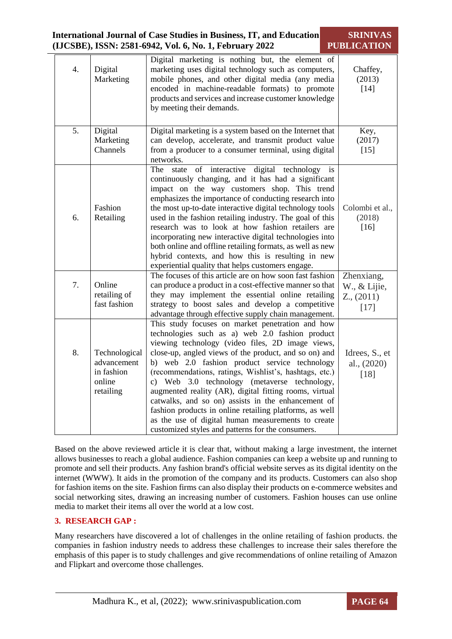| <b>International Journal of Case Studies in Business, IT, and Education</b><br>(IJCSBE), ISSN: 2581-6942, Vol. 6, No. 1, February 2022 | <b>SRINIVAS</b><br><b>PUBLICATION</b>                             |                                                                                                                                                                                                                                                                                                                                                                                                                                                                                                                                                                                                                                                                   |                                                         |
|----------------------------------------------------------------------------------------------------------------------------------------|-------------------------------------------------------------------|-------------------------------------------------------------------------------------------------------------------------------------------------------------------------------------------------------------------------------------------------------------------------------------------------------------------------------------------------------------------------------------------------------------------------------------------------------------------------------------------------------------------------------------------------------------------------------------------------------------------------------------------------------------------|---------------------------------------------------------|
| 4.                                                                                                                                     | Digital<br>Marketing                                              | Digital marketing is nothing but, the element of<br>marketing uses digital technology such as computers,<br>mobile phones, and other digital media (any media<br>encoded in machine-readable formats) to promote<br>products and services and increase customer knowledge<br>by meeting their demands.                                                                                                                                                                                                                                                                                                                                                            | Chaffey,<br>(2013)<br>$[14]$                            |
| 5.                                                                                                                                     | Digital<br>Marketing<br>Channels                                  | Digital marketing is a system based on the Internet that<br>can develop, accelerate, and transmit product value<br>from a producer to a consumer terminal, using digital<br>networks.                                                                                                                                                                                                                                                                                                                                                                                                                                                                             | Key,<br>(2017)<br>$[15]$                                |
| 6.                                                                                                                                     | Fashion<br>Retailing                                              | of interactive<br>digital technology is<br>The<br>state<br>continuously changing, and it has had a significant<br>impact on the way customers shop. This trend<br>emphasizes the importance of conducting research into<br>the most up-to-date interactive digital technology tools<br>used in the fashion retailing industry. The goal of this<br>research was to look at how fashion retailers are<br>incorporating new interactive digital technologies into<br>both online and offline retailing formats, as well as new<br>hybrid contexts, and how this is resulting in new<br>experiential quality that helps customers engage.                            | Colombi et al.,<br>(2018)<br>$[16]$                     |
| 7.                                                                                                                                     | Online<br>retailing of<br>fast fashion                            | The focuses of this article are on how soon fast fashion<br>can produce a product in a cost-effective manner so that<br>they may implement the essential online retailing<br>strategy to boost sales and develop a competitive<br>advantage through effective supply chain management.                                                                                                                                                                                                                                                                                                                                                                            | Zhenxiang,<br>W., & Lijie,<br>$Z_{.,}$ (2011)<br>$[17]$ |
| 8.                                                                                                                                     | Technological<br>advancement<br>in fashion<br>online<br>retailing | This study focuses on market penetration and how<br>technologies such as a) web 2.0 fashion product<br>viewing technology (video files, 2D image views,<br>close-up, angled views of the product, and so on) and<br>b) web 2.0 fashion product service technology<br>(recommendations, ratings, Wishlist's, hashtags, etc.)<br>c) Web 3.0 technology (metaverse technology,<br>augmented reality (AR), digital fitting rooms, virtual<br>catwalks, and so on) assists in the enhancement of<br>fashion products in online retailing platforms, as well<br>as the use of digital human measurements to create<br>customized styles and patterns for the consumers. | Idrees, S., et<br>al., (2020)<br>$[18]$                 |

Based on the above reviewed article it is clear that, without making a large investment, the internet allows businesses to reach a global audience. Fashion companies can keep a website up and running to promote and sell their products. Any fashion brand's official website serves as its digital identity on the internet (WWW). It aids in the promotion of the company and its products. Customers can also shop for fashion items on the site. Fashion firms can also display their products on e-commerce websites and social networking sites, drawing an increasing number of customers. Fashion houses can use online media to market their items all over the world at a low cost.

# **3. RESEARCH GAP :**

Many researchers have discovered a lot of challenges in the online retailing of fashion products. the companies in fashion industry needs to address these challenges to increase their sales therefore the emphasis of this paper is to study challenges and give recommendations of online retailing of Amazon and Flipkart and overcome those challenges.

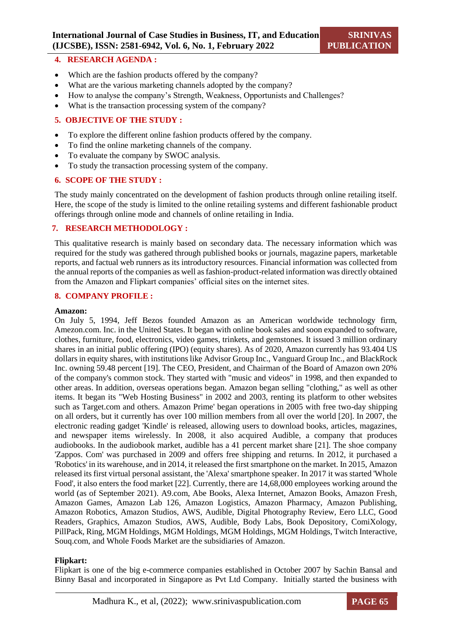#### **4. RESEARCH AGENDA :**

- Which are the fashion products offered by the company?
- What are the various marketing channels adopted by the company?
- How to analyse the company's Strength, Weakness, Opportunists and Challenges?
- What is the transaction processing system of the company?

#### **5. OBJECTIVE OF THE STUDY :**

- To explore the different online fashion products offered by the company.
- To find the online marketing channels of the company.
- To evaluate the company by SWOC analysis.
- To study the transaction processing system of the company.

#### **6. SCOPE OF THE STUDY :**

The study mainly concentrated on the development of fashion products through online retailing itself. Here, the scope of the study is limited to the online retailing systems and different fashionable product offerings through online mode and channels of online retailing in India.

#### **7. RESEARCH METHODOLOGY :**

This qualitative research is mainly based on secondary data. The necessary information which was required for the study was gathered through published books or journals, magazine papers, marketable reports, and factual web runners as its introductory resources. Financial information was collected from the annual reports of the companies as well as fashion-product-related information was directly obtained from the Amazon and Flipkart companies' official sites on the internet sites.

#### **8. COMPANY PROFILE :**

#### **Amazon:**

On July 5, 1994, Jeff Bezos founded Amazon as an American worldwide technology firm, Amezon.com. Inc. in the United States. It began with online book sales and soon expanded to software, clothes, furniture, food, electronics, video games, trinkets, and gemstones. It issued 3 million ordinary shares in an initial public offering (IPO) (equity shares). As of 2020, Amazon currently has 93.404 US dollars in equity shares, with institutions like Advisor Group Inc., Vanguard Group Inc., and BlackRock Inc. owning 59.48 percent [19]. The CEO, President, and Chairman of the Board of Amazon own 20% of the company's common stock. They started with "music and videos" in 1998, and then expanded to other areas. In addition, overseas operations began. Amazon began selling "clothing," as well as other items. It began its "Web Hosting Business" in 2002 and 2003, renting its platform to other websites such as Target.com and others. Amazon Prime' began operations in 2005 with free two-day shipping on all orders, but it currently has over 100 million members from all over the world [20]. In 2007, the electronic reading gadget 'Kindle' is released, allowing users to download books, articles, magazines, and newspaper items wirelessly. In 2008, it also acquired Audible, a company that produces audiobooks. In the audiobook market, audible has a 41 percent market share [21]. The shoe company 'Zappos. Com' was purchased in 2009 and offers free shipping and returns. In 2012, it purchased a 'Robotics' in its warehouse, and in 2014, it released the first smartphone on the market. In 2015, Amazon released its first virtual personal assistant, the 'Alexa' smartphone speaker. In 2017 it was started 'Whole Food', it also enters the food market [22]. Currently, there are 14,68,000 employees working around the world (as of September 2021). A9.com, Abe Books, Alexa Internet, Amazon Books, Amazon Fresh, Amazon Games, Amazon Lab 126, Amazon Logistics, Amazon Pharmacy, Amazon Publishing, Amazon Robotics, Amazon Studios, AWS, Audible, Digital Photography Review, Eero LLC, Good Readers, Graphics, Amazon Studios, AWS, Audible, Body Labs, Book Depository, ComiXology, PillPack, Ring, MGM Holdings, MGM Holdings, MGM Holdings, MGM Holdings, Twitch Interactive, Souq.com, and Whole Foods Market are the subsidiaries of Amazon.

#### **Flipkart:**

Flipkart is one of the big e-commerce companies established in October 2007 by Sachin Bansal and Binny Basal and incorporated in Singapore as Pvt Ltd Company. Initially started the business with

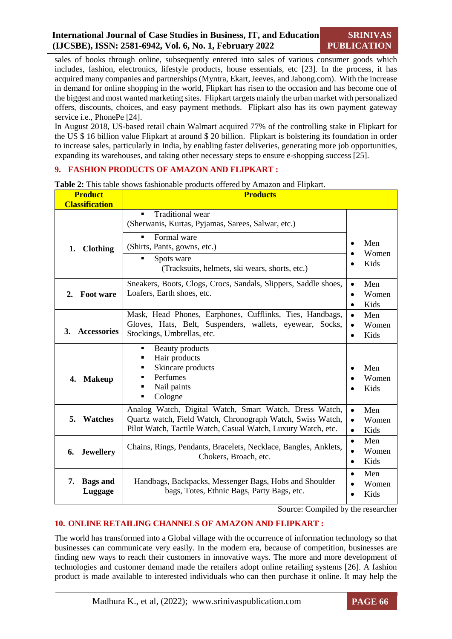sales of books through online, subsequently entered into sales of various consumer goods which includes, fashion, electronics, lifestyle products, house essentials, etc [23]. In the process, it has acquired many companies and partnerships (Myntra, Ekart, Jeeves, and Jabong.com). With the increase in demand for online shopping in the world, Flipkart has risen to the occasion and has become one of the biggest and most wanted marketing sites. Flipkart targets mainly the urban market with personalized offers, discounts, choices, and easy payment methods. Flipkart also has its own payment gateway service i.e., PhonePe [24].

In August 2018, US-based retail chain Walmart acquired 77% of the controlling stake in Flipkart for the US \$ 16 billion value Flipkart at around \$ 20 billion. Flipkart is bolstering its foundation in order to increase sales, particularly in India, by enabling faster deliveries, generating more job opportunities, expanding its warehouses, and taking other necessary steps to ensure e-shopping success [25].

# **9. FASHION PRODUCTS OF AMAZON AND FLIPKART :**

| <b>Classification</b>            |                                                                                                                                                                                                         |                                                     |  |
|----------------------------------|---------------------------------------------------------------------------------------------------------------------------------------------------------------------------------------------------------|-----------------------------------------------------|--|
| 1.<br><b>Clothing</b>            | Traditional wear<br>$\blacksquare$<br>(Sherwanis, Kurtas, Pyjamas, Sarees, Salwar, etc.)<br>Formal ware<br>(Shirts, Pants, gowns, etc.)<br>Spots ware<br>(Tracksuits, helmets, ski wears, shorts, etc.) | Men<br>Women<br>Kids                                |  |
| <b>Foot ware</b><br>2.           | Sneakers, Boots, Clogs, Crocs, Sandals, Slippers, Saddle shoes,<br>Loafers, Earth shoes, etc.                                                                                                           | Men<br>$\bullet$<br>Women<br>$\bullet$<br>Kids<br>٠ |  |
| <b>Accessories</b><br>3.         | Mask, Head Phones, Earphones, Cufflinks, Ties, Handbags,<br>Gloves, Hats, Belt, Suspenders, wallets, eyewear, Socks,<br>Stockings, Umbrellas, etc.                                                      | Men<br>Women<br>Kids<br>$\bullet$                   |  |
| <b>Makeup</b><br>4.              | Beauty products<br>٠<br>Hair products<br>Skincare products<br>٠<br>Perfumes<br>■<br>Nail paints<br>٠<br>Cologne<br>٠                                                                                    | Men<br>Women<br>Kids                                |  |
| 5.<br>Watches                    | Analog Watch, Digital Watch, Smart Watch, Dress Watch,<br>Quartz watch, Field Watch, Chronograph Watch, Swiss Watch,<br>Pilot Watch, Tactile Watch, Casual Watch, Luxury Watch, etc.                    | Men<br>$\bullet$<br>Women<br>$\bullet$<br>Kids      |  |
| 6.<br><b>Jewellery</b>           | Chains, Rings, Pendants, Bracelets, Necklace, Bangles, Anklets,<br>Chokers, Broach, etc.                                                                                                                | Men<br>$\bullet$<br>Women<br>Kids<br>$\bullet$      |  |
| <b>Bags</b> and<br>7.<br>Luggage | Handbags, Backpacks, Messenger Bags, Hobs and Shoulder<br>bags, Totes, Ethnic Bags, Party Bags, etc.                                                                                                    | Men<br>$\bullet$<br>Women<br>Kids<br>$\bullet$      |  |

**Table 2:** This table shows fashionable products offered by Amazon and Flipkart. **Product Products**

Source: Compiled by the researcher

# **10. ONLINE RETAILING CHANNELS OF AMAZON AND FLIPKART :**

The world has transformed into a Global village with the occurrence of information technology so that businesses can communicate very easily. In the modern era, because of competition, businesses are finding new ways to reach their customers in innovative ways. The more and more development of technologies and customer demand made the retailers adopt online retailing systems [26]. A fashion product is made available to interested individuals who can then purchase it online. It may help the

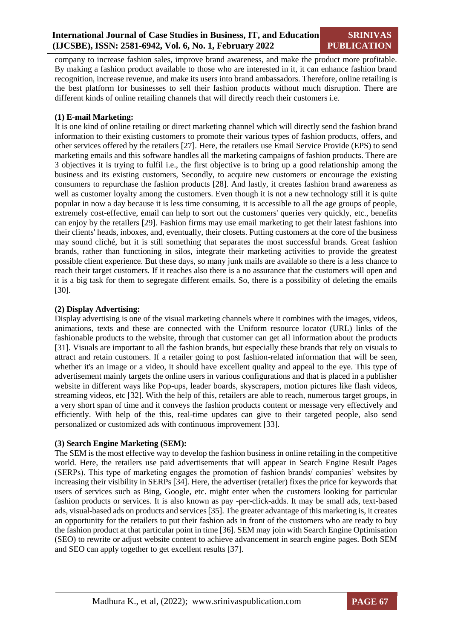company to increase fashion sales, improve brand awareness, and make the product more profitable. By making a fashion product available to those who are interested in it, it can enhance fashion brand recognition, increase revenue, and make its users into brand ambassadors. Therefore, online retailing is the best platform for businesses to sell their fashion products without much disruption. There are different kinds of online retailing channels that will directly reach their customers i.e.

#### **(1) E-mail Marketing:**

It is one kind of online retailing or direct marketing channel which will directly send the fashion brand information to their existing customers to promote their various types of fashion products, offers, and other services offered by the retailers [27]. Here, the retailers use Email Service Provide (EPS) to send marketing emails and this software handles all the marketing campaigns of fashion products. There are 3 objectives it is trying to fulfil i.e., the first objective is to bring up a good relationship among the business and its existing customers, Secondly, to acquire new customers or encourage the existing consumers to repurchase the fashion products [28]. And lastly, it creates fashion brand awareness as well as customer loyalty among the customers. Even though it is not a new technology still it is quite popular in now a day because it is less time consuming, it is accessible to all the age groups of people, extremely cost-effective, email can help to sort out the customers' queries very quickly, etc., benefits can enjoy by the retailers [29]. Fashion firms may use email marketing to get their latest fashions into their clients' heads, inboxes, and, eventually, their closets. Putting customers at the core of the business may sound cliché, but it is still something that separates the most successful brands. Great fashion brands, rather than functioning in silos, integrate their marketing activities to provide the greatest possible client experience. But these days, so many junk mails are available so there is a less chance to reach their target customers. If it reaches also there is a no assurance that the customers will open and it is a big task for them to segregate different emails. So, there is a possibility of deleting the emails [30].

#### **(2) Display Advertising:**

Display advertising is one of the visual marketing channels where it combines with the images, videos, animations, texts and these are connected with the Uniform resource locator (URL) links of the fashionable products to the website, through that customer can get all information about the products [31]. Visuals are important to all the fashion brands, but especially these brands that rely on visuals to attract and retain customers. If a retailer going to post fashion-related information that will be seen, whether it's an image or a video, it should have excellent quality and appeal to the eye. This type of advertisement mainly targets the online users in various configurations and that is placed in a publisher website in different ways like Pop-ups, leader boards, skyscrapers, motion pictures like flash videos, streaming videos, etc [32]. With the help of this, retailers are able to reach, numerous target groups, in a very short span of time and it conveys the fashion products content or message very effectively and efficiently. With help of the this, real-time updates can give to their targeted people, also send personalized or customized ads with continuous improvement [33].

#### **(3) Search Engine Marketing (SEM):**

The SEM is the most effective way to develop the fashion business in online retailing in the competitive world. Here, the retailers use paid advertisements that will appear in Search Engine Result Pages (SERPs). This type of marketing engages the promotion of fashion brands/ companies' websites by increasing their visibility in SERPs [34]. Here, the advertiser (retailer) fixes the price for keywords that users of services such as Bing, Google, etc. might enter when the customers looking for particular fashion products or services. It is also known as pay -per-click-adds. It may be small ads, text-based ads, visual-based ads on products and services [35]. The greater advantage of this marketing is, it creates an opportunity for the retailers to put their fashion ads in front of the customers who are ready to buy the fashion product at that particular point in time [36]. SEM may join with Search Engine Optimisation (SEO) to rewrite or adjust website content to achieve advancement in search engine pages. Both SEM and SEO can apply together to get excellent results [37].

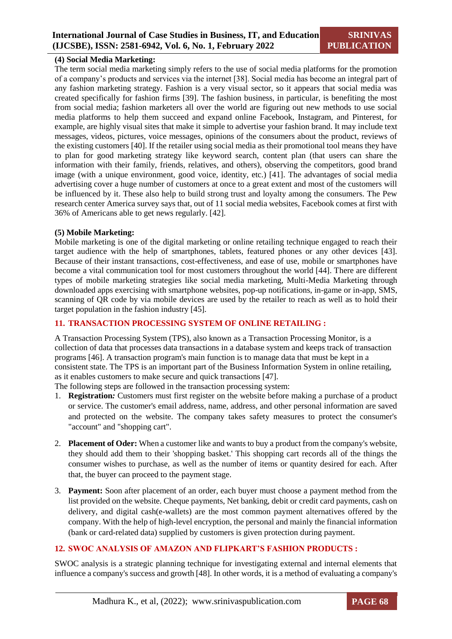#### **(4) Social Media Marketing:**

The term social media marketing simply refers to the use of social media platforms for the promotion of a company's products and services via the internet [38]. Social media has become an integral part of any fashion marketing strategy. Fashion is a very visual sector, so it appears that social media was created specifically for fashion firms [39]. The fashion business, in particular, is benefiting the most from social media; fashion marketers all over the world are figuring out new methods to use social media platforms to help them succeed and expand online Facebook, Instagram, and Pinterest, for example, are highly visual sites that make it simple to advertise your fashion brand. It may include text messages, videos, pictures, voice messages, opinions of the consumers about the product, reviews of the existing customers [40]. If the retailer using social media as their promotional tool means they have to plan for good marketing strategy like keyword search, content plan (that users can share the information with their family, friends, relatives, and others), observing the competitors, good brand image (with a unique environment, good voice, identity, etc.) [41]. The advantages of social media advertising cover a huge number of customers at once to a great extent and most of the customers will be influenced by it. These also help to build strong trust and loyalty among the consumers. The Pew research center America survey says that, out of 11 social media websites, Facebook comes at first with 36% of Americans able to get news regularly. [42].

#### **(5) Mobile Marketing:**

Mobile marketing is one of the digital marketing or online retailing technique engaged to reach their target audience with the help of smartphones, tablets, featured phones or any other devices [43]. Because of their instant transactions, cost-effectiveness, and ease of use, mobile or smartphones have become a vital communication tool for most customers throughout the world [44]. There are different types of mobile marketing strategies like social media marketing, Multi-Media Marketing through downloaded apps exercising with smartphone websites, pop-up notifications, in-game or in-app, SMS, scanning of QR code by via mobile devices are used by the retailer to reach as well as to hold their target population in the fashion industry [45].

#### **11. TRANSACTION PROCESSING SYSTEM OF ONLINE RETAILING :**

A Transaction Processing System (TPS), also known as a Transaction Processing Monitor, is a collection of data that processes data transactions in a database system and keeps track of transaction programs [46]. A transaction program's main function is to manage data that must be kept in a consistent state. The TPS is an important part of the Business Information System in online retailing, as it enables customers to make secure and quick transactions [47].

The following steps are followed in the transaction processing system:

- 1. **Registration***:* Customers must first register on the website before making a purchase of a product or service. The customer's email address, name, address, and other personal information are saved and protected on the website. The company takes safety measures to protect the consumer's "account" and "shopping cart".
- 2. **Placement of Oder:** When a customer like and wants to buy a product from the company's website, they should add them to their 'shopping basket.' This shopping cart records all of the things the consumer wishes to purchase, as well as the number of items or quantity desired for each. After that, the buyer can proceed to the payment stage.
- 3. **Payment:** Soon after placement of an order, each buyer must choose a payment method from the list provided on the website. Cheque payments, Net banking, debit or credit card payments, cash on delivery, and digital cash(e-wallets) are the most common payment alternatives offered by the company. With the help of high-level encryption, the personal and mainly the financial information (bank or card-related data) supplied by customers is given protection during payment.

#### **12. SWOC ANALYSIS OF AMAZON AND FLIPKART'S FASHION PRODUCTS :**

SWOC analysis is a strategic planning technique for investigating external and internal elements that influence a company's success and growth [48]. In other words, it is a method of evaluating a company's

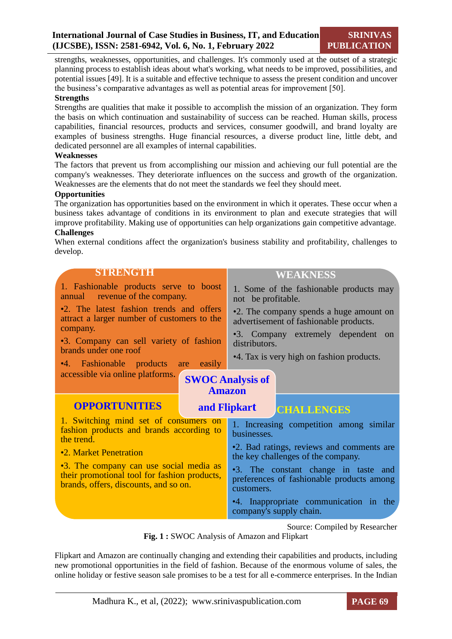strengths, weaknesses, opportunities, and challenges. It's commonly used at the outset of a strategic planning process to establish ideas about what's working, what needs to be improved, possibilities, and potential issues [49]. It is a suitable and effective technique to assess the present condition and uncover the business's comparative advantages as well as potential areas for improvement [50].

#### **Strengths**

Strengths are qualities that make it possible to accomplish the mission of an organization. They form the basis on which continuation and sustainability of success can be reached. Human skills, process capabilities, financial resources, products and services, consumer goodwill, and brand loyalty are examples of business strengths. Huge financial resources, a diverse product line, little debt, and dedicated personnel are all examples of internal capabilities.

#### **Weaknesses**

The factors that prevent us from accomplishing our mission and achieving our full potential are the company's weaknesses. They deteriorate influences on the success and growth of the organization. Weaknesses are the elements that do not meet the standards we feel they should meet.

#### **Opportunities**

The organization has opportunities based on the environment in which it operates. These occur when a business takes advantage of conditions in its environment to plan and execute strategies that will improve profitability. Making use of opportunities can help organizations gain competitive advantage. **Challenges**

When external conditions affect the organization's business stability and profitability, challenges to develop.

| <b>STRENGTH</b>                                                                                                                  | <b>WEAKNESS</b>                                                                                 |  |
|----------------------------------------------------------------------------------------------------------------------------------|-------------------------------------------------------------------------------------------------|--|
| 1. Fashionable products serve to boost<br>annual revenue of the company.                                                         | 1. Some of the fashionable products may<br>not be profitable.                                   |  |
| •2. The latest fashion trends and offers<br>attract a larger number of customers to the                                          | •2. The company spends a huge amount on<br>advertisement of fashionable products.               |  |
| company.<br>•3. Company can sell variety of fashion<br>brands under one roof                                                     | •3. Company extremely dependent on<br>distributors.                                             |  |
| •4. Fashionable products<br>easily<br>are                                                                                        | •4. Tax is very high on fashion products.                                                       |  |
| accessible via online platforms.                                                                                                 | <b>SWOC Analysis of</b><br><b>Amazon</b>                                                        |  |
| <b>OPPORTUNITIES</b>                                                                                                             | and Flipkart<br><b>CHALLENGES</b>                                                               |  |
| 1. Switching mind set of consumers on<br>fashion products and brands according to<br>the trend.                                  | 1. Increasing competition among similar<br>businesses.                                          |  |
| •2. Market Penetration                                                                                                           | •2. Bad ratings, reviews and comments are<br>the key challenges of the company.                 |  |
| •3. The company can use social media as<br>their promotional tool for fashion products,<br>brands, offers, discounts, and so on. | •3. The constant change in taste and<br>preferences of fashionable products among<br>customers. |  |
|                                                                                                                                  | •4. Inappropriate communication in the<br>company's supply chain.                               |  |

Source: Compiled by Researcher

**Fig. 1 :** SWOC Analysis of Amazon and Flipkart

Flipkart and Amazon are continually changing and extending their capabilities and products, including new promotional opportunities in the field of fashion. Because of the enormous volume of sales, the online holiday or festive season sale promises to be a test for all e-commerce enterprises. In the Indian

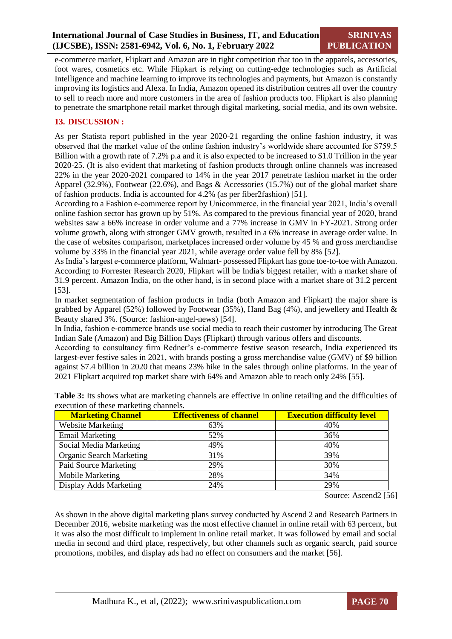e-commerce market, Flipkart and Amazon are in tight competition that too in the apparels, accessories, foot wares, cosmetics etc. While Flipkart is relying on cutting-edge technologies such as Artificial Intelligence and machine learning to improve its technologies and payments, but Amazon is constantly improving its logistics and Alexa. In India, Amazon opened its distribution centres all over the country to sell to reach more and more customers in the area of fashion products too. Flipkart is also planning to penetrate the smartphone retail market through digital marketing, social media, and its own website.

#### **13. DISCUSSION :**

As per Statista report published in the year 2020-21 regarding the online fashion industry, it was observed that the market value of the online fashion industry's worldwide share accounted for \$759.5 Billion with a growth rate of 7.2% p.a and it is also expected to be increased to \$1.0 Trillion in the year 2020-25. (It is also evident that marketing of fashion products through online channels was increased 22% in the year 2020-2021 compared to 14% in the year 2017 penetrate fashion market in the order Apparel (32.9%), Footwear (22.6%), and Bags & Accessories (15.7%) out of the global market share of fashion products. India is accounted for 4.2% (as per fiber2fashion) [51].

According to a Fashion e-commerce report by Unicommerce, in the financial year 2021, India's overall online fashion sector has grown up by 51%. As compared to the previous financial year of 2020, brand websites saw a 66% increase in order volume and a 77% increase in GMV in FY-2021. Strong order volume growth, along with stronger GMV growth, resulted in a 6% increase in average order value. In the case of websites comparison, marketplaces increased order volume by 45 % and gross merchandise volume by 33% in the financial year 2021, while average order value fell by 8% [52].

As India's largest e-commerce platform, Walmart- possessed Flipkart has gone toe-to-toe with Amazon. According to Forrester Research 2020, Flipkart will be India's biggest retailer, with a market share of 31.9 percent. Amazon India, on the other hand, is in second place with a market share of 31.2 percent [53].

In market segmentation of fashion products in India (both Amazon and Flipkart) the major share is grabbed by Apparel (52%) followed by Footwear (35%), Hand Bag (4%), and jewellery and Health & Beauty shared 3%. (Source: fashion-angel-news) [54].

In India, fashion e-commerce brands use social media to reach their customer by introducing The Great Indian Sale (Amazon) and Big Billion Days (Flipkart) through various offers and discounts.

According to consultancy firm Redner's e-commerce festive season research, India experienced its largest-ever festive sales in 2021, with brands posting a gross merchandise value (GMV) of \$9 billion against \$7.4 billion in 2020 that means 23% hike in the sales through online platforms. In the year of 2021 Flipkart acquired top market share with 64% and Amazon able to reach only 24% [55].

| <b>Marketing Channel</b>        | <b>Effectiveness of channel</b> | <b>Execution difficulty level</b> |
|---------------------------------|---------------------------------|-----------------------------------|
| <b>Website Marketing</b>        | 63%                             | 40%                               |
| <b>Email Marketing</b>          | 52%                             | 36%                               |
| Social Media Marketing          | 49%                             | 40%                               |
| <b>Organic Search Marketing</b> | 31%                             | 39%                               |
| Paid Source Marketing           | 29%                             | 30%                               |
| Mobile Marketing                | 28%                             | 34%                               |
| Display Adds Marketing          | 24%                             | 29%                               |

**Table 3:** Its shows what are marketing channels are effective in online retailing and the difficulties of execution of these marketing channels.

Source: Ascend2 [56]

As shown in the above digital marketing plans survey conducted by Ascend 2 and Research Partners in December 2016, website marketing was the most effective channel in online retail with 63 percent, but it was also the most difficult to implement in online retail market. It was followed by email and social media in second and third place, respectively, but other channels such as organic search, paid source promotions, mobiles, and display ads had no effect on consumers and the market [56].

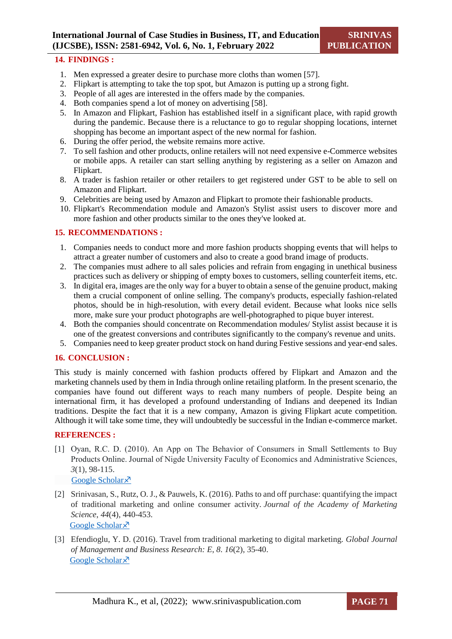#### **14. FINDINGS :**

- 1. Men expressed a greater desire to purchase more cloths than women [57].
- 2. Flipkart is attempting to take the top spot, but Amazon is putting up a strong fight.
- 3. People of all ages are interested in the offers made by the companies.
- 4. Both companies spend a lot of money on advertising [58].
- 5. In Amazon and Flipkart, Fashion has established itself in a significant place, with rapid growth during the pandemic. Because there is a reluctance to go to regular shopping locations, internet shopping has become an important aspect of the new normal for fashion.
- 6. During the offer period, the website remains more active.
- 7. To sell fashion and other products, online retailers will not need expensive e-Commerce websites or mobile apps. A retailer can start selling anything by registering as a seller on Amazon and Flipkart.
- 8. A trader is fashion retailer or other retailers to get registered under GST to be able to sell on Amazon and Flipkart.
- 9. Celebrities are being used by Amazon and Flipkart to promote their fashionable products.
- 10. Flipkart's Recommendation module and Amazon's Stylist assist users to discover more and more fashion and other products similar to the ones they've looked at.

#### **15. RECOMMENDATIONS :**

- 1. Companies needs to conduct more and more fashion products shopping events that will helps to attract a greater number of customers and also to create a good brand image of products.
- 2. The companies must adhere to all sales policies and refrain from engaging in unethical business practices such as delivery or shipping of empty boxes to customers, selling counterfeit items, etc.
- 3. In digital era, images are the only way for a buyer to obtain a sense of the genuine product, making them a crucial component of online selling. The company's products, especially fashion-related photos, should be in high-resolution, with every detail evident. Because what looks nice sells more, make sure your product photographs are well-photographed to pique buyer interest.
- 4. Both the companies should concentrate on Recommendation modules/ Stylist assist because it is one of the greatest conversions and contributes significantly to the company's revenue and units.
- 5. Companies need to keep greater product stock on hand during Festive sessions and year-end sales.

# **16. CONCLUSION :**

This study is mainly concerned with fashion products offered by Flipkart and Amazon and the marketing channels used by them in India through online retailing platform. In the present scenario, the companies have found out different ways to reach many numbers of people. Despite being an international firm, it has developed a profound understanding of Indians and deepened its Indian traditions. Despite the fact that it is a new company, Amazon is giving Flipkart acute competition. Although it will take some time, they will undoubtedly be successful in the Indian e-commerce market.

# **REFERENCES :**

- [1] Oyan, R.C. D. (2010). An App on The Behavior of Consumers in Small Settlements to Buy Products Online. Journal of Nigde University Faculty of Economics and Administrative Sciences, *3*(1), 98-115. [Google Scholar](https://scholar.google.com/scholar?hl=en&as_sdt=0%2C5&q=Oyan%2C+R.C.+D.+%282010%29&btnG=)<sup> $x$ </sup>
- [2] Srinivasan, S., Rutz, O. J., & Pauwels, K. (2016). Paths to and off purchase: quantifying the impact of traditional marketing and online consumer activity. *Journal of the Academy of Marketing Science*, *44*(4), 440-453. [Google Scholar](https://link.springer.com/article/10.1007%2Fs11747-015-0431-z) ×
- [3] Efendioglu, Y. D. (2016). Travel from traditional marketing to digital marketing. *Global Journal of Management and Business Research: E*, *8*. *16*(2), 35-40. [Google Scholar](https://d1wqtxts1xzle7.cloudfront.net/51703160/2049-2028-1-PB-with-cover-page-v2.pdf?Expires=1639923370&Signature=XC1XGU6q0izmBzETDIYHwp1YyEwbCQMD2qcLWfSDNjrZvUh9BXL0ugJe4PHUzKhAiRMgI0kMr1R7ydnW2b0GBTeABfy-SBW5dGjWvIzZk4~FsaEn7vfl1P5~e4qnnPmo5CmMhlsx3IiHp65FkSEHmUbKHFNIivQBYOj675bd0TonyQQkoWuRiwOFxgPUdJp8ge7FZzXa5wgDabpeEHJMnsojh4CEs1kt7gv0AqhdvrfOzQD9XCWMA4fXq8wpRkASToCE7LJy4IEjHXJSq2kqxn~EbtVm8z-QYrVbMHgjNYUukPIMoNImgWEngU0qMI4zx5Kc44diEcqe6H3a7Yn1sA__&Key-Pair-Id=APKAJLOHF5GGSLRBV4ZA)<sup> $\lambda$ </sup>

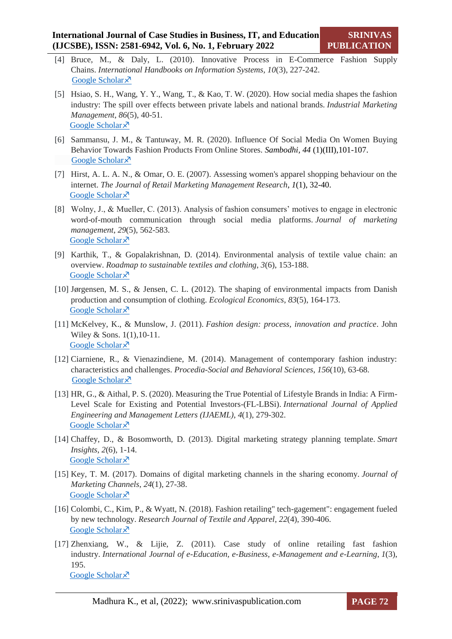- [4] Bruce, M., & Daly, L. (2010). Innovative Process in E-Commerce Fashion Supply Chains. *International Handbooks on Information Systems, 10*(3), 227-242. [Google Scholar](https://link.springer.com/chapter/10.1007%2F978-3-642-04313-0_11) ×
- [5] Hsiao, S. H., Wang, Y. Y., Wang, T., & Kao, T. W. (2020). How social media shapes the fashion industry: The spill over effects between private labels and national brands. *Industrial Marketing Management*, *86*(5), 40-51. [Google Scholar](https://www.sciencedirect.com/science/article/abs/pii/S0019850118304425?via%3Dihub) ×
- [6] Sammansu, J. M., & Tantuway, M. R. (2020). Influence Of Social Media On Women Buying Behavior Towards Fashion Products From Online Stores. *Sambodhi, 44* (1)(III),101-107. [Google Scholar](https://scholar.google.com/scholar?hl=en&as_sdt=0%2C5&q=Influence+of+social+media+on+women+buying+behavior+towards+fashion+products+from+online+stores&btnG=) ×
- [7] Hirst, A. L. A. N., & Omar, O. E. (2007). Assessing women's apparel shopping behaviour on the internet. *The Journal of Retail Marketing Management Research*, *1*(1), 32-40. [Google Scholar](https://uhra.herts.ac.uk/handle/2299/745) ×
- [8] Wolny, J., & Mueller, C. (2013). Analysis of fashion consumers' motives to engage in electronic word-of-mouth communication through social media platforms. *Journal of marketing management*, *29*(5), 562-583. [Google Scholar](https://www.tandfonline.com/doi/abs/10.1080/0267257X.2013.778324) ×
- [9] Karthik, T., & Gopalakrishnan, D. (2014). Environmental analysis of textile value chain: an overview. *Roadmap to sustainable textiles and clothing*, *3*(6), 153-188. [Google Scholar](https://www.tandfonline.com/doi/abs/10.1080/0267257X.2013.778324) ×
- [10] Jørgensen, M. S., & Jensen, C. L. (2012). The shaping of environmental impacts from Danish production and consumption of clothing. *Ecological Economics*, *83*(5), 164-173. [Google Scholar](https://www.sciencedirect.com/science/article/abs/pii/S0921800912001322?via%3Dihub) ×
- [11] McKelvey, K., & Munslow, J. (2011). *Fashion design: process, innovation and practice*. John Wiley & Sons. 1(1),10-11. [Google Scholar](https://books.google.co.in/books?hl=en&lr=&id=pddrfrTQegIC&oi=fnd&pg=PT6&dq=Fashion+design:+process,+innovation+and+practice&ots=RLLJ-SnYKc&sig=DHFIGW99vRbrrUWqJj15Cti-tEY&redir_esc=y#v=onepage&q=Fashion%20design%3A%20process%2C%20innovation%20and%20practice&f=false) ×
- [12] Ciarniene, R., & Vienazindiene, M. (2014). Management of contemporary fashion industry: characteristics and challenges. *Procedia-Social and Behavioral Sciences*, *156*(10), 63-68. [Google Scholar](https://www.sciencedirect.com/science/article/pii/S1877042814059400?via%3Dihub) ×
- [13] HR, G., & Aithal, P. S. (2020). Measuring the True Potential of Lifestyle Brands in India: A Firm-Level Scale for Existing and Potential Investors-(FL-LBSi). *International Journal of Applied Engineering and Management Letters (IJAEML)*, *4*(1), 279-302. [Google Scholar](https://papers.ssrn.com/sol3/papers.cfm?abstract_id=3641790) ×
- [14] Chaffey, D., & Bosomworth, D. (2013). Digital marketing strategy planning template. *Smart Insights*, *2*(6), 1-14. [Google Scholar](https://images.template.net/wp-content/uploads/2016/06/27115818/Digital-Marketing-Strategy-Template.pdf) ×
- [15] Key, T. M. (2017). Domains of digital marketing channels in the sharing economy. *Journal of Marketing Channels*, *24*(1), 27-38. [Google Scholar](https://www.tandfonline.com/doi/full/10.1080/1046669X.2017.1346977) ×
- [16] Colombi, C., Kim, P., & Wyatt, N. (2018). Fashion retailing" tech-gagement": engagement fueled by new technology. *Research Journal of Textile and Apparel*, *22*(4), 390-406. [Google Scholar](https://www.emerald.com/insight/content/doi/10.1108/RJTA-03-2018-0019/full/html) ×
- [17] Zhenxiang, W., & Lijie, Z. (2011). Case study of online retailing fast fashion industry. *International Journal of e-Education, e-Business, e-Management and e-Learning*, *1*(3), 195. [Google Scholar](https://scholar.google.com/scholar?hl=en&as_sdt=0%2C5&q=Case+study+of+online+retailing+fast+fashion+industry&btnG=) ×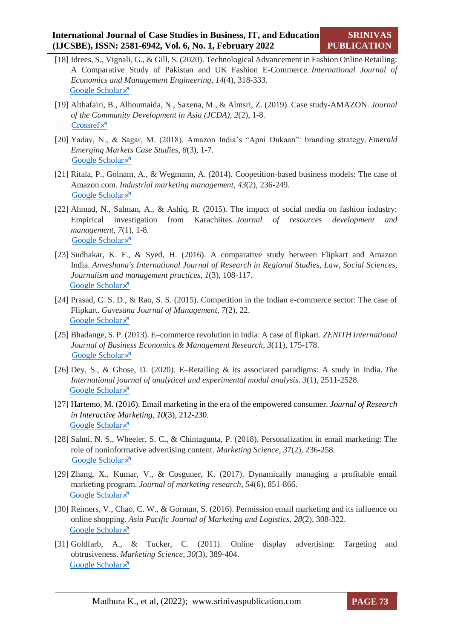- [18] Idrees, S., Vignali, G., & Gill, S. (2020). Technological Advancement in Fashion Online Retailing: A Comparative Study of Pakistan and UK Fashion E-Commerce. *International Journal of Economics and Management Engineering*, *14*(4), 318-333. [Google Scholar](https://scholar.google.com/scholar?hl=en&as_sdt=0%2C5&q=Technological+Advancement+in+Fashion+Online+Retailing%3A+A+Comparative+Study+of+Pakistan+and+UK+Fashion+E-Commerce&btnG=) ×
- [19] Althafairi, B., Alhoumaida, N., Saxena, M., & Almsri, Z. (2019). Case study-AMAZON. *Journal of the Community Development in Asia (JCDA)*, *2*(2), 1-8. [Crossref](https://doi.org/10.32535/jcda.v2i2.517)<sup>x</sup>
- [20] Yadav, N., & Sagar, M. (2018). Amazon India's "Apni Dukaan": branding strategy. *Emerald Emerging Markets Case Studies*, *8*(3), 1-7. [Google Scholar](https://www.emerald.com/insight/content/doi/10.1108/EEMCS-09-2017-0230/full/html) ×
- [21] Ritala, P., Golnam, A., & Wegmann, A. (2014). Coopetition-based business models: The case of Amazon.com. *Industrial marketing management*, *43*(2), 236-249. [Google Scholar](https://www.sciencedirect.com/science/article/abs/pii/S0019850113002150?via%3Dihub) ×
- [22] Ahmad, N., Salman, A., & Ashiq, R. (2015). The impact of social media on fashion industry: Empirical investigation from Karachiites. *Journal of resources development and management*, *7*(1), 1-8*.* [Google Scholar](https://deliverypdf.ssrn.com/delivery.php?ID=674066092020081071121000005081016101038046007020059034127066091110126098099074029028056033058006042055014025027105115119091097053082054001060121113079002101102067006061053066087028067081072020125011070025065030114074000031069126084064015102097077024104&EXT=pdf&INDEX=TRUE) ×
- [23] Sudhakar, K. F., & Syed, H. (2016). A comparative study between Flipkart and Amazon India. *Anveshana's International Journal of Research in Regional Studies, Law, Social Sciences, Journalism and management practices*, *1*(3), 108-117. [Google Scholar](https://scholar.google.com/scholar?hl=en&as_sdt=0%2C5&q=A+comparative+study+between+Flipkart+and+Amazon+India&btnG=) ×
- [24] Prasad, C. S. D., & Rao, S. S. (2015). Competition in the Indian e-commerce sector: The case of Flipkart. *Gavesana Journal of Management*, *7*(2), 22. [Google Scholar](https://scholar.google.com/scholar?hl=en&as_sdt=0%2C5&q=Competition+in+the+Indian+e-commerce+sector%3A+The+case+of+Flipkart&btnG=) ×
- [25] Bhadange, S. P. (2013). E–commerce revolution in India: A case of flipkart. *ZENITH International Journal of Business Economics & Management Research*, *3*(11), 175-178. [Google Scholar](https://scholar.google.com/scholar?hl=en&as_sdt=0%2C5&q=%29.+E%E2%80%93commerce+revolution+in+India%3A+A+case+of+flipkart&btnG=) $\lambda$
- [26] Dey, S., & Ghose, D. (2020). E–Retailing & its associated paradigms: A study in India. *The International journal of analytical and experimental modal analysis*. *3*(1), 2511-2528. [Google Scholar](http://ijaema.com/gallery/287-january-3193.pdf) ×
- [27] [Hartemo, M.](https://www.emerald.com/insight/search?q=Mari%20Hartemo) (2016). Email marketing in the era of the empowered consumer. *[Journal of Research](https://www.emerald.com/insight/publication/issn/2040-7122)  [in Interactive Marketing](https://www.emerald.com/insight/publication/issn/2040-7122)*, *10*(3), 212-230. [Google Scholar](https://www.emerald.com/insight/content/doi/10.1108/JRIM-06-2015-0040/full/html)  $\lambda$
- [28] Sahni, N. S., Wheeler, S. C., & Chintagunta, P. (2018). Personalization in email marketing: The role of noninformative advertising content. *Marketing Science*, *37*(2), 236-258. [Google Scholar](https://pubsonline.informs.org/doi/abs/10.1287/mksc.2017.1066) ×
- [29] Zhang, X., Kumar, V., & Cosguner, K. (2017). Dynamically managing a profitable email marketing program. *Journal of marketing research*, *54*(6), 851-866. [Google Scholar](https://journals.sagepub.com/doi/10.1509/jmr.16.0210) ×
- [30] Reimers, V., Chao, C. W., & Gorman, S. (2016). Permission email marketing and its influence on online shopping. *Asia Pacific Journal of Marketing and Logistics*, *28*(2), 308-322. [Google Scholar](https://research.monash.edu/en/publications/permission-email-marketing-and-its-influence-on-online-shopping)<sup> $\lambda$ </sup>
- [31] Goldfarb, A., & Tucker, C. (2011). Online display advertising: Targeting and obtrusiveness. *Marketing Science*, *30*(3), 389-404. [Google Scholar](https://pubsonline.informs.org/doi/abs/10.1287/mksc.1100.0583) ×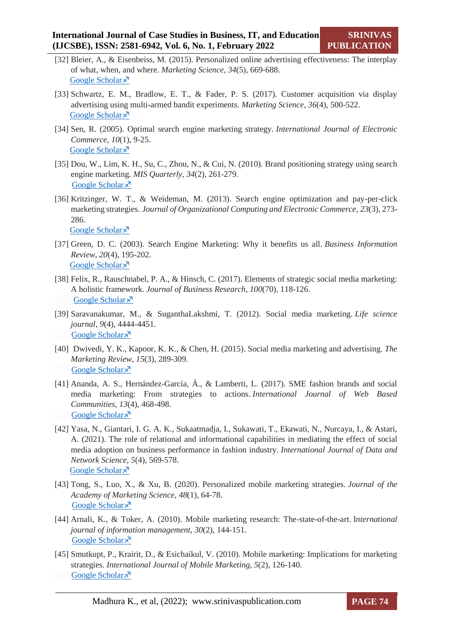- [32] Bleier, A., & Eisenbeiss, M. (2015). Personalized online advertising effectiveness: The interplay of what, when, and where. *Marketing Science*, *34*(5), 669-688. [Google Scholar](https://pubsonline.informs.org/doi/abs/10.1287/mksc.2015.0930) ×
- [33] Schwartz, E. M., Bradlow, E. T., & Fader, P. S. (2017). Customer acquisition via display advertising using multi-armed bandit experiments. *Marketing Science*, *36*(4), 500-522. [Google Scholar](https://pubsonline.informs.org/doi/10.1287/mksc.2016.1023) ×
- [34] Sen, R. (2005). Optimal search engine marketing strategy. *International Journal of Electronic Commerce*, *10*(1), 9-25. [Google Scholar](https://www.tandfonline.com/doi/abs/10.1080/10864415.2005.11043964) ×
- [35] Dou, W., Lim, K. H., Su, C., Zhou, N., & Cui, N. (2010). Brand positioning strategy using search engine marketing. *MIS Quarterly*, *34*(2), 261-279. [Google Scholar](https://www.jstor.org/stable/20721427) ×
- [36] Kritzinger, W. T., & Weideman, M. (2013). Search engine optimization and pay-per-click marketing strategies. *Journal of Organizational Computing and Electronic Commerce*, *23*(3), 273- 286. [Google Scholar](https://www.tandfonline.com/doi/abs/10.1080/10919392.2013.808124) ×
- [37] Green, D. C. (2003). Search Engine Marketing: Why it benefits us all. *Business Information Review*, *20*(4), 195-202. [Google Scholar](https://journals.sagepub.com/doi/10.1177/0266382103204005) ×
- [38] Felix, R., Rauschnabel, P. A., & Hinsch, C. (2017). Elements of strategic social media marketing: A holistic framework. *Journal of Business Research*, *100*(70), 118-126. [Google Scholar](https://www.infona.pl/resource/bwmeta1.element.elsevier-782cfad0-cf21-3a23-a37e-43659fd189ab) ×
- [39] Saravanakumar, M., & SuganthaLakshmi, T. (2012). Social media marketing. *Life science journal*, *9*(4), 4444-4451. [Google Scholar](http://www.lifesciencesite.com/lsj/life0904/670_13061life0904_4444_4451.pdf) ×
- [40] Dwivedi, Y. K., Kapoor, K. K., & Chen, H. (2015). Social media marketing and advertising. *The Marketing Review*, *15*(3), 289-309. [Google Scholar](https://www.ingentaconnect.com/content/westburn/tmr/2015/00000015/00000003/art00003) ×
- [41] Ananda, A. S., Hernández-García, Á., & Lamberti, L. (2017). SME fashion brands and social media marketing: From strategies to actions. *International Journal of Web Based Communities*, *13*(4), 468-498. [Google Scholar](http://m.growingscience.com/beta/ijds/5044-the-role-of-relational-and-informational-capabilities-in-mediating-the-effect-of-social-media-adoption-on-business-performance-in-fashion-industry.html) ×
- [42] Yasa, N., Giantari, I. G. A. K., Sukaatmadja, I., Sukawati, T., Ekawati, N., Nurcaya, I., & Astari, A. (2021). The role of relational and informational capabilities in mediating the effect of social media adoption on business performance in fashion industry. *International Journal of Data and Network Science*, *5*(4), 569-578. [Google Scholar](https://reader.elsevier.com/reader/sd/pii/S1877042814039202?token=089F6002525720ACD0D9C9EF13CB3AC704287E429E9F1C97BF9DD49DECDA84F3C6D427BD4F28E7384EAFB3858B192227&originRegion=eu-west-1&originCreation=20211219143048) ×
- [43] Tong, S., Luo, X., & Xu, B. (2020). Personalized mobile marketing strategies. *Journal of the Academy of Marketing Science*, *48*(1), 64-78. [Google Scholar](https://link.springer.com/article/10.1007%2Fs11747-019-00693-3) ×
- [44] Arnali, K., & Toker, A. (2010). Mobile marketing research: The-state-of-the-art. I*nternational journal of information management*, *30*(2), 144-151. [Google Scholar](https://www.sciencedirect.com/science/article/abs/pii/S0268401209001133?via%3Dihub) ×
- [45] Smutkupt, P., Krairit, D., & Esichaikul, V. (2010). Mobile marketing: Implications for marketing strategies. *International Journal of Mobile Marketing*, *5*(2), 126-140. **[Google Scholar](http://citeseerx.ist.psu.edu/viewdoc/download?doi=10.1.1.471.7037&rep=rep1&type=pdf)**